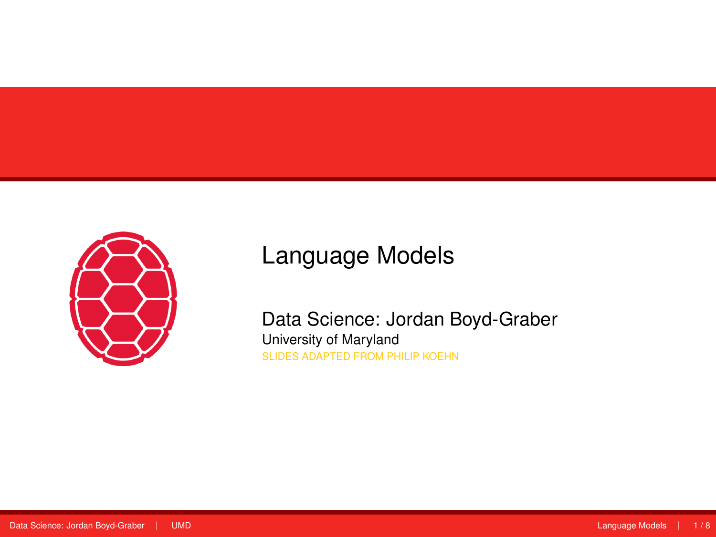<span id="page-0-0"></span>

# Language Models

Data Science: Jordan Boyd-Graber University of Maryland SLIDES ADAPTED FROM PHILIP KOEHN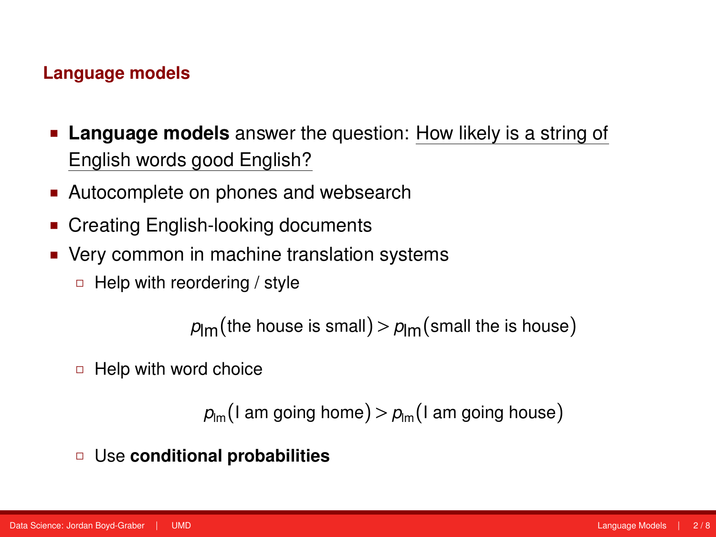## **Language models**

- **Language models** answer the question: How likely is a string of English words good English?
- Autocomplete on phones and websearch
- Creating English-looking documents
- Very common in machine translation systems
	- $\Box$  Help with reordering / style

 $p_{\text{lm}}$ (the house is small) >  $p_{\text{lm}}$ (small the is house)

 $\Box$  Help with word choice

```
p_{lm}(I am going home) > p_{lm}(I am going house)
```
Use **conditional probabilities**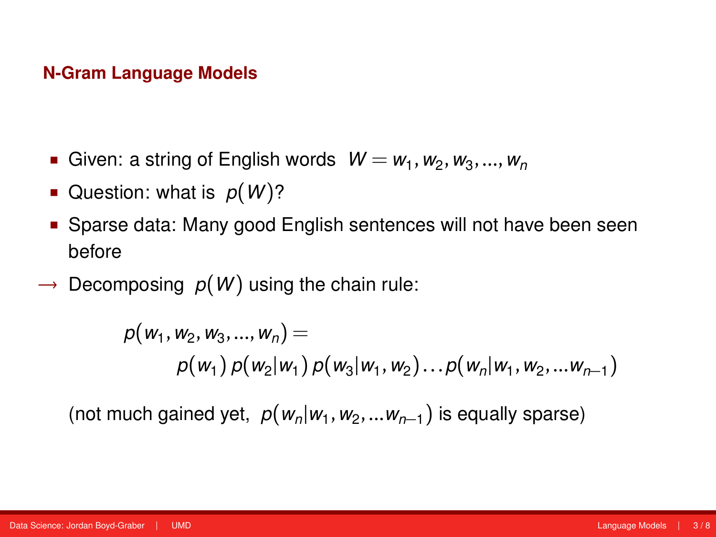#### **N-Gram Language Models**

- **•** Given: a string of English words  $W = w_1, w_2, w_3, ..., w_n$
- Question: what is  $p(W)$ ?
- Sparse data: Many good English sentences will not have been seen before
- $\rightarrow$  Decomposing  $p(W)$  using the chain rule:

$$
p(w_1, w_2, w_3, ..., w_n) =
$$
  
 
$$
p(w_1) p(w_2|w_1) p(w_3|w_1, w_2) ... p(w_n|w_1, w_2, ... w_{n-1})
$$

(not much gained yet,  $p(w_n|w_1, w_2,...w_{n-1})$  is equally sparse)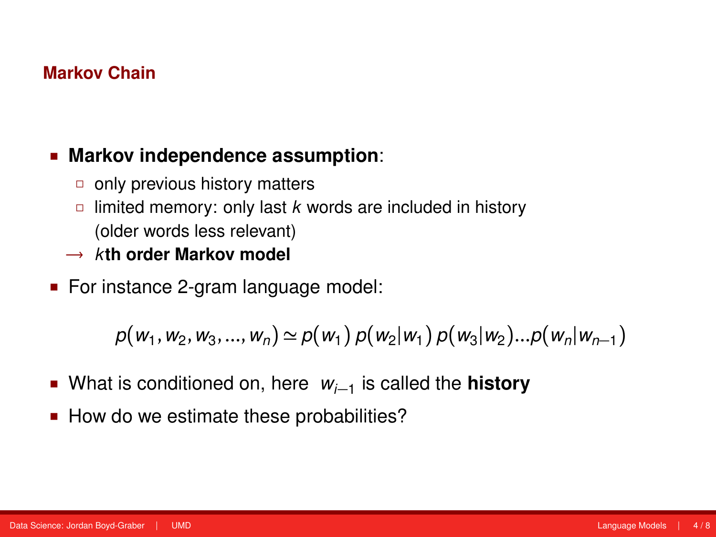## **Markov Chain**

## **Markov independence assumption**:

- $\Box$  only previous history matters
- $\Box$  limited memory: only last *k* words are included in history (older words less relevant)
- → *k***th order Markov model**
- For instance 2-gram language model:

$$
p(w_1, w_2, w_3, ..., w_n) \simeq p(w_1) p(w_2|w_1) p(w_3|w_2)...p(w_n|w_{n-1})
$$

- What is conditioned on, here *wi*−<sup>1</sup> is called the **history**
- How do we estimate these probabilities?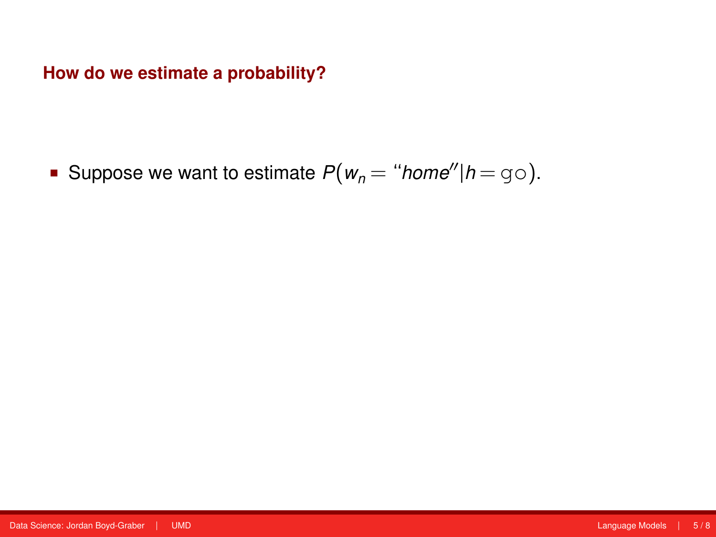**How do we estimate a probability?**

Suppose we want to estimate  $P(w_n = "home" | h = g \circ).$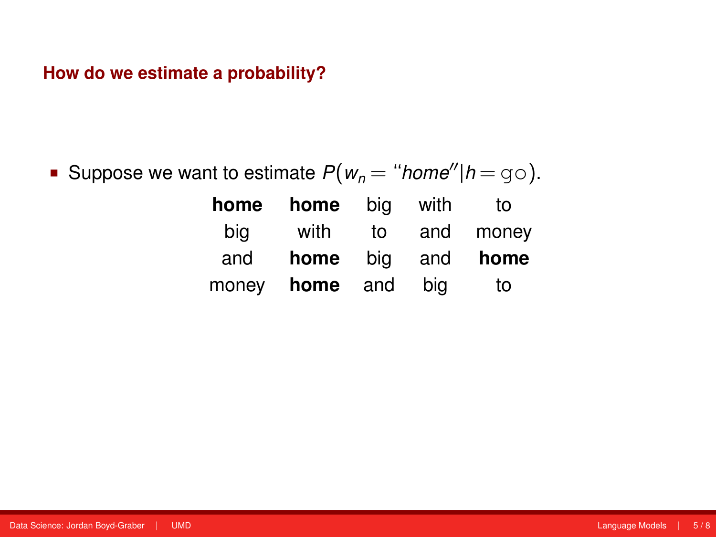## **How do we estimate a probability?**

Suppose we want to estimate  $P(w_n = "home" | h = g \circ).$ 

| home  | home | bia | with | to    |
|-------|------|-----|------|-------|
| big   | with | to  | and  | money |
| and   | home | bia | and  | home  |
| money | home | and | bia  | to    |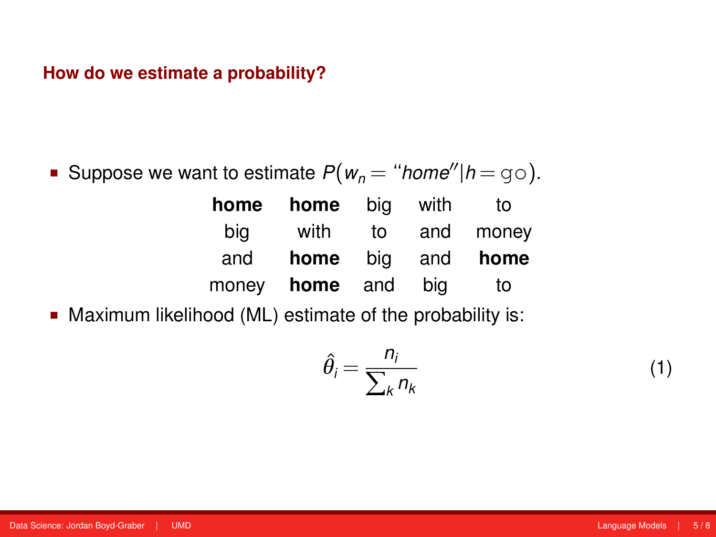#### **How do we estimate a probability?**

Suppose we want to estimate  $P(w_n = "home''|h = q_0)$ .

| home | <b>home</b> big       |    | with | to                |
|------|-----------------------|----|------|-------------------|
| big  | with                  | to |      | and money         |
| and  |                       |    |      | home big and home |
|      | money <b>home</b> and |    | bia  | to                |

Maximum likelihood (ML) estimate of the probability is:

$$
\hat{\theta}_i = \frac{n_i}{\sum_k n_k} \tag{1}
$$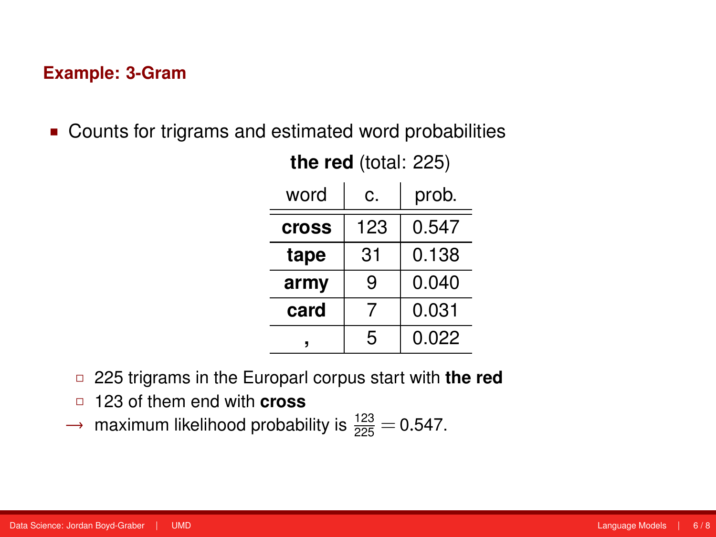#### **Example: 3-Gram**

Counts for trigrams and estimated word probabilities

| word         | c.  | prob. |
|--------------|-----|-------|
| <b>Cross</b> | 123 | 0.547 |
| tape         | 31  | 0.138 |
| army         | 9   | 0.040 |
| card         |     | 0.031 |
|              | 5   | 0.022 |

**the red** (total: 225)

- 225 trigrams in the Europarl corpus start with **the red**
- 123 of them end with **cross**
- $\rightarrow$  maximum likelihood probability is  $\frac{123}{225}$  = 0.547.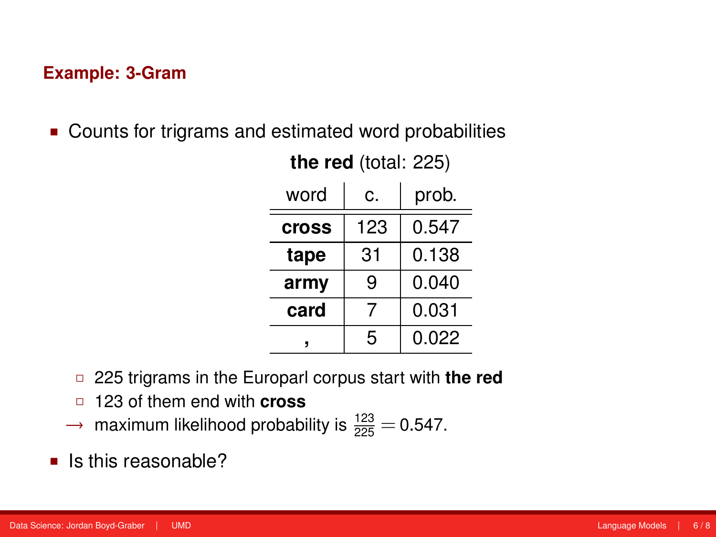#### **Example: 3-Gram**

Counts for trigrams and estimated word probabilities

| word         | c.  | prob. |
|--------------|-----|-------|
| <b>Cross</b> | 123 | 0.547 |
| tape         | 31  | 0.138 |
| army         | 9   | 0.040 |
| card         |     | 0.031 |
|              | 5   | 0.022 |

**the red** (total: 225)

- 225 trigrams in the Europarl corpus start with **the red**
- 123 of them end with **cross**
- $\rightarrow$  maximum likelihood probability is  $\frac{123}{225}$  = 0.547.
- $\blacksquare$  Is this reasonable?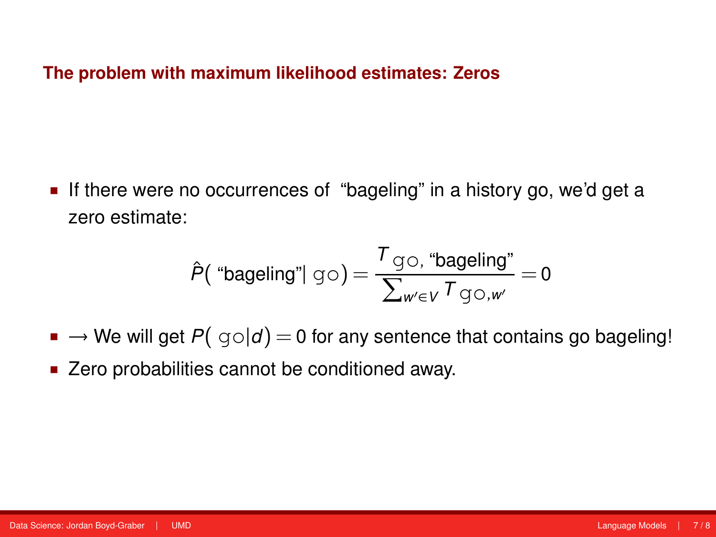#### **The problem with maximum likelihood estimates: Zeros**

If there were no occurrences of "bageling" in a history go, we'd get a zero estimate:

$$
\hat{P}(\text{ "bageling"} | \text{ go}) = \frac{\tau_{\text{go, "bageling"}}}{\sum_{w' \in V} \tau_{\text{go},w'}} = 0
$$

- $\blacksquare \rightarrow$  We will get  $P(q \circ | d) = 0$  for any sentence that contains go bageling!
- Zero probabilities cannot be conditioned away.